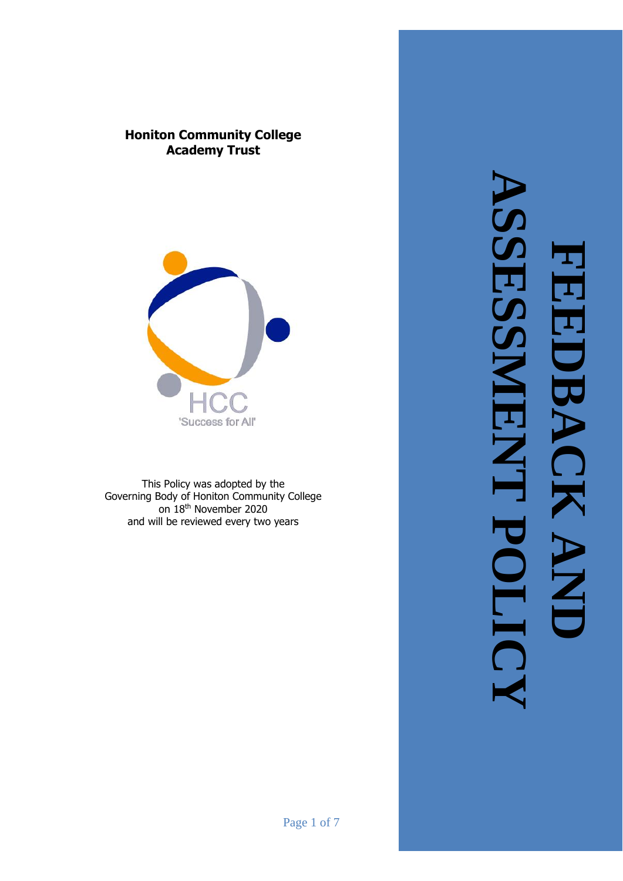



This Policy was adopted by the Governing Body of Honiton Community College on 18th November 2020 and will be reviewed every two years

**ASSESSMENT POLICYFEEDBACK AND 3DB**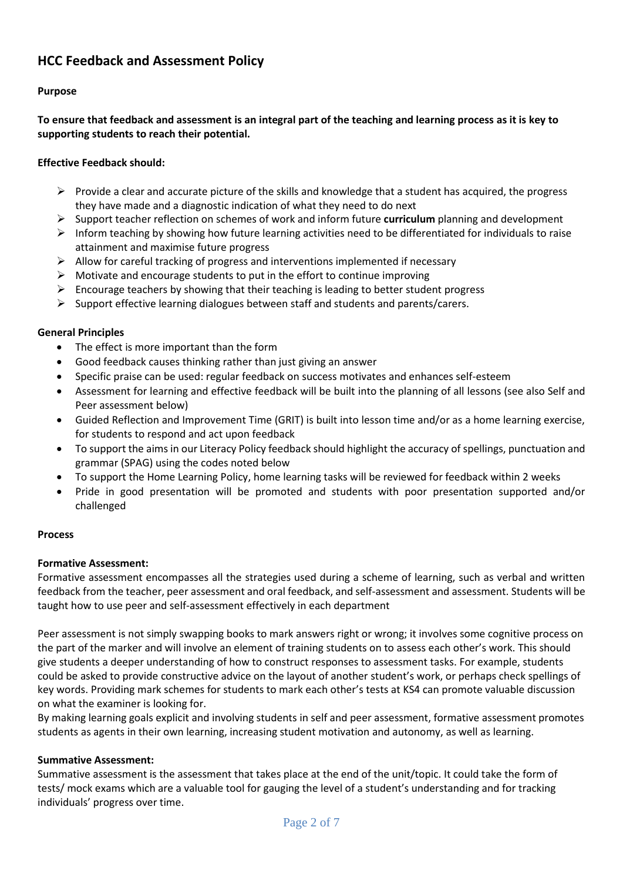# **HCC Feedback and Assessment Policy**

## **Purpose**

**To ensure that feedback and assessment is an integral part of the teaching and learning process as it is key to supporting students to reach their potential.**

### **Effective Feedback should:**

- $\triangleright$  Provide a clear and accurate picture of the skills and knowledge that a student has acquired, the progress they have made and a diagnostic indication of what they need to do next
- ➢ Support teacher reflection on schemes of work and inform future **curriculum** planning and development
- $\triangleright$  Inform teaching by showing how future learning activities need to be differentiated for individuals to raise attainment and maximise future progress
- $\triangleright$  Allow for careful tracking of progress and interventions implemented if necessary
- $\triangleright$  Motivate and encourage students to put in the effort to continue improving
- $\triangleright$  Encourage teachers by showing that their teaching is leading to better student progress
- ➢ Support effective learning dialogues between staff and students and parents/carers.

### **General Principles**

- The effect is more important than the form
- Good feedback causes thinking rather than just giving an answer
- Specific praise can be used: regular feedback on success motivates and enhances self-esteem
- Assessment for learning and effective feedback will be built into the planning of all lessons (see also Self and Peer assessment below)
- Guided Reflection and Improvement Time (GRIT) is built into lesson time and/or as a home learning exercise, for students to respond and act upon feedback
- To support the aims in our Literacy Policy feedback should highlight the accuracy of spellings, punctuation and grammar (SPAG) using the codes noted below
- To support the Home Learning Policy, home learning tasks will be reviewed for feedback within 2 weeks
- Pride in good presentation will be promoted and students with poor presentation supported and/or challenged

### **Process**

### **Formative Assessment:**

Formative assessment encompasses all the strategies used during a scheme of learning, such as verbal and written feedback from the teacher, peer assessment and oral feedback, and self-assessment and assessment. Students will be taught how to use peer and self-assessment effectively in each department

Peer assessment is not simply swapping books to mark answers right or wrong; it involves some cognitive process on the part of the marker and will involve an element of training students on to assess each other's work. This should give students a deeper understanding of how to construct responses to assessment tasks. For example, students could be asked to provide constructive advice on the layout of another student's work, or perhaps check spellings of key words. Providing mark schemes for students to mark each other's tests at KS4 can promote valuable discussion on what the examiner is looking for.

By making learning goals explicit and involving students in self and peer assessment, formative assessment promotes students as agents in their own learning, increasing student motivation and autonomy, as well as learning.

### **Summative Assessment:**

Summative assessment is the assessment that takes place at the end of the unit/topic. It could take the form of tests/ mock exams which are a valuable tool for gauging the level of a student's understanding and for tracking individuals' progress over time.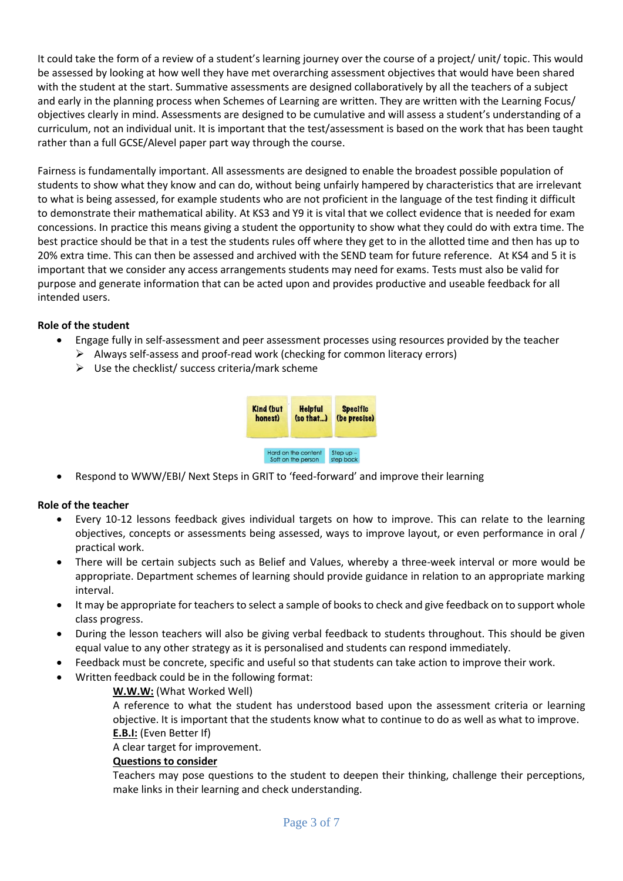It could take the form of a review of a student's learning journey over the course of a project/ unit/ topic. This would be assessed by looking at how well they have met overarching assessment objectives that would have been shared with the student at the start. Summative assessments are designed collaboratively by all the teachers of a subject and early in the planning process when Schemes of Learning are written. They are written with the Learning Focus/ objectives clearly in mind. Assessments are designed to be cumulative and will assess a student's understanding of a curriculum, not an individual unit. It is important that the test/assessment is based on the work that has been taught rather than a full GCSE/Alevel paper part way through the course.

Fairness is fundamentally important. All assessments are designed to enable the broadest possible population of students to show what they know and can do, without being unfairly hampered by characteristics that are irrelevant to what is being assessed, for example students who are not proficient in the language of the test finding it difficult to demonstrate their mathematical ability. At KS3 and Y9 it is vital that we collect evidence that is needed for exam concessions. In practice this means giving a student the opportunity to show what they could do with extra time. The best practice should be that in a test the students rules off where they get to in the allotted time and then has up to 20% extra time. This can then be assessed and archived with the SEND team for future reference. At KS4 and 5 it is important that we consider any access arrangements students may need for exams. Tests must also be valid for purpose and generate information that can be acted upon and provides productive and useable feedback for all intended users.

## **Role of the student**

- Engage fully in self-assessment and peer assessment processes using resources provided by the teacher
	- $\triangleright$  Always self-assess and proof-read work (checking for common literacy errors)
	- $\triangleright$  Use the checklist/ success criteria/mark scheme



• Respond to WWW/EBI/ Next Steps in GRIT to 'feed-forward' and improve their learning

## **Role of the teacher**

- Every 10-12 lessons feedback gives individual targets on how to improve. This can relate to the learning objectives, concepts or assessments being assessed, ways to improve layout, or even performance in oral / practical work.
- There will be certain subjects such as Belief and Values, whereby a three-week interval or more would be appropriate. Department schemes of learning should provide guidance in relation to an appropriate marking interval.
- It may be appropriate for teachers to select a sample of books to check and give feedback on to support whole class progress.
- During the lesson teachers will also be giving verbal feedback to students throughout. This should be given equal value to any other strategy as it is personalised and students can respond immediately.
- Feedback must be concrete, specific and useful so that students can take action to improve their work.
- Written feedback could be in the following format:

## **W.W.W:** (What Worked Well)

A reference to what the student has understood based upon the assessment criteria or learning objective. It is important that the students know what to continue to do as well as what to improve. **E.B.I:** (Even Better If)

A clear target for improvement.

### **Questions to consider**

Teachers may pose questions to the student to deepen their thinking, challenge their perceptions, make links in their learning and check understanding.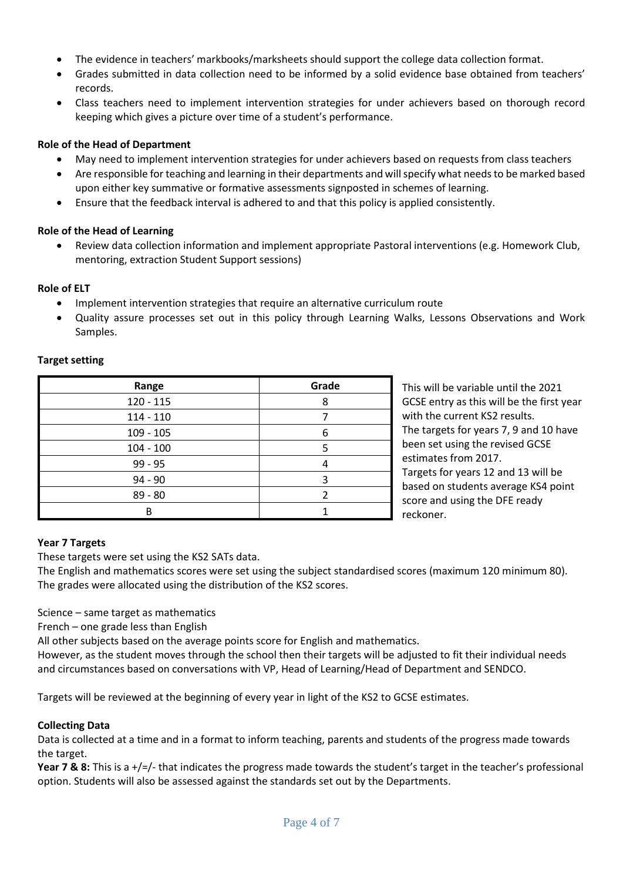- The evidence in teachers' markbooks/marksheets should support the college data collection format.
- Grades submitted in data collection need to be informed by a solid evidence base obtained from teachers' records.
- Class teachers need to implement intervention strategies for under achievers based on thorough record keeping which gives a picture over time of a student's performance.

## **Role of the Head of Department**

- May need to implement intervention strategies for under achievers based on requests from class teachers
- Are responsible for teaching and learning in their departments and will specify what needs to be marked based upon either key summative or formative assessments signposted in schemes of learning.
- Ensure that the feedback interval is adhered to and that this policy is applied consistently.

## **Role of the Head of Learning**

• Review data collection information and implement appropriate Pastoral interventions (e.g. Homework Club, mentoring, extraction Student Support sessions)

## **Role of ELT**

- Implement intervention strategies that require an alternative curriculum route
- Quality assure processes set out in this policy through Learning Walks, Lessons Observations and Work Samples.

## **Target setting**

| Range       | Grade |
|-------------|-------|
| $120 - 115$ | 8     |
| $114 - 110$ |       |
| $109 - 105$ | հ     |
| $104 - 100$ |       |
| $99 - 95$   |       |
| $94 - 90$   |       |
| $89 - 80$   |       |
| в           |       |

This will be variable until the 2021 GCSE entry as this will be the first year with the current KS2 results. The targets for years 7, 9 and 10 have been set using the revised GCSE estimates from 2017. Targets for years 12 and 13 will be

based on students average KS4 point score and using the DFE ready reckoner.

## **Year 7 Targets**

These targets were set using the KS2 SATs data.

The English and mathematics scores were set using the subject standardised scores (maximum 120 minimum 80). The grades were allocated using the distribution of the KS2 scores.

Science – same target as mathematics

French – one grade less than English

All other subjects based on the average points score for English and mathematics.

However, as the student moves through the school then their targets will be adjusted to fit their individual needs and circumstances based on conversations with VP, Head of Learning/Head of Department and SENDCO.

Targets will be reviewed at the beginning of every year in light of the KS2 to GCSE estimates.

## **Collecting Data**

Data is collected at a time and in a format to inform teaching, parents and students of the progress made towards the target.

**Year 7 & 8:** This is a +/=/- that indicates the progress made towards the student's target in the teacher's professional option. Students will also be assessed against the standards set out by the Departments.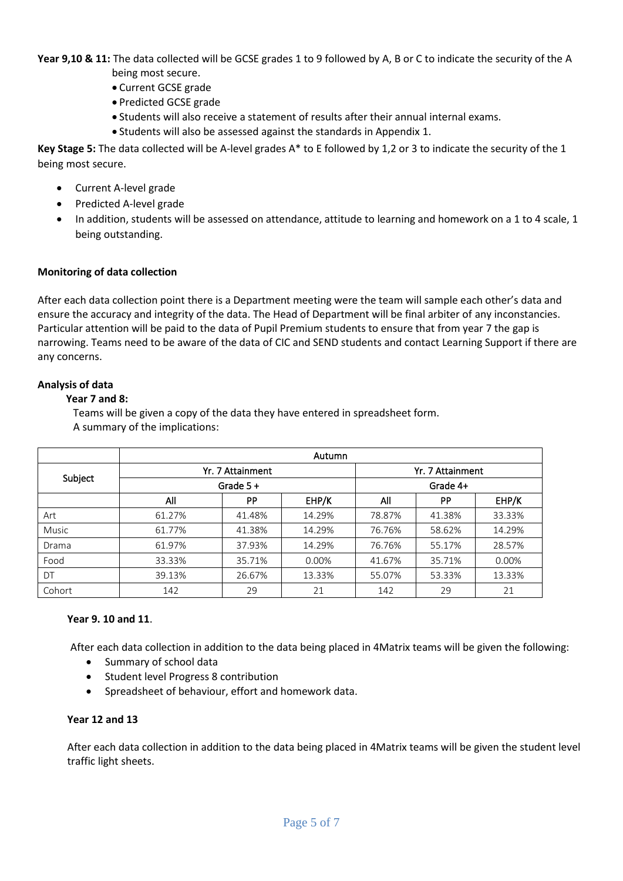**Year 9,10 & 11:** The data collected will be GCSE grades 1 to 9 followed by A, B or C to indicate the security of the A being most secure.

- Current GCSE grade
- Predicted GCSE grade
- Students will also receive a statement of results after their annual internal exams.
- Students will also be assessed against the standards in Appendix 1.

**Key Stage 5:** The data collected will be A-level grades A\* to E followed by 1,2 or 3 to indicate the security of the 1 being most secure.

- Current A-level grade
- Predicted A-level grade
- In addition, students will be assessed on attendance, attitude to learning and homework on a 1 to 4 scale, 1 being outstanding.

### **Monitoring of data collection**

After each data collection point there is a Department meeting were the team will sample each other's data and ensure the accuracy and integrity of the data. The Head of Department will be final arbiter of any inconstancies. Particular attention will be paid to the data of Pupil Premium students to ensure that from year 7 the gap is narrowing. Teams need to be aware of the data of CIC and SEND students and contact Learning Support if there are any concerns.

#### **Analysis of data**

#### **Year 7 and 8:**

Teams will be given a copy of the data they have entered in spreadsheet form. A summary of the implications:

|              | Autumn           |           |          |                              |           |        |
|--------------|------------------|-----------|----------|------------------------------|-----------|--------|
| Subject      | Yr. 7 Attainment |           |          | Yr. 7 Attainment<br>Grade 4+ |           |        |
|              | Grade $5 +$      |           |          |                              |           |        |
|              | All              | <b>PP</b> | EHP/K    | All                          | <b>PP</b> | EHP/K  |
| Art          | 61.27%           | 41.48%    | 14.29%   | 78.87%                       | 41.38%    | 33.33% |
| <b>Music</b> | 61.77%           | 41.38%    | 14.29%   | 76.76%                       | 58.62%    | 14.29% |
| Drama        | 61.97%           | 37.93%    | 14.29%   | 76.76%                       | 55.17%    | 28.57% |
| Food         | 33.33%           | 35.71%    | $0.00\%$ | 41.67%                       | 35.71%    | 0.00%  |
| DT           | 39.13%           | 26.67%    | 13.33%   | 55.07%                       | 53.33%    | 13.33% |
| Cohort       | 142              | 29        | 21       | 142                          | 29        | 21     |

### **Year 9. 10 and 11**.

After each data collection in addition to the data being placed in 4Matrix teams will be given the following:

- Summary of school data
- Student level Progress 8 contribution
- Spreadsheet of behaviour, effort and homework data.

### **Year 12 and 13**

After each data collection in addition to the data being placed in 4Matrix teams will be given the student level traffic light sheets.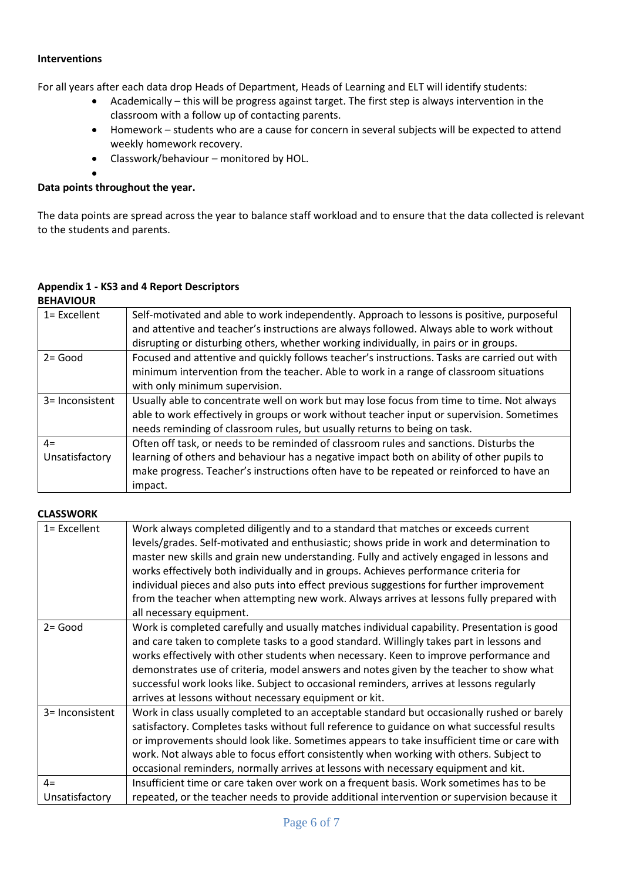### **Interventions**

For all years after each data drop Heads of Department, Heads of Learning and ELT will identify students:

- Academically this will be progress against target. The first step is always intervention in the classroom with a follow up of contacting parents.
- Homework students who are a cause for concern in several subjects will be expected to attend weekly homework recovery.
- Classwork/behaviour monitored by HOL.

## **Data points throughout the year.**

•

The data points are spread across the year to balance staff workload and to ensure that the data collected is relevant to the students and parents.

#### **Appendix 1 - KS3 and 4 Report Descriptors BEHAVIOUR**

| 1= Excellent           | Self-motivated and able to work independently. Approach to lessons is positive, purposeful<br>and attentive and teacher's instructions are always followed. Always able to work without<br>disrupting or disturbing others, whether working individually, in pairs or in groups.           |
|------------------------|--------------------------------------------------------------------------------------------------------------------------------------------------------------------------------------------------------------------------------------------------------------------------------------------|
| $2 = Good$             | Focused and attentive and quickly follows teacher's instructions. Tasks are carried out with<br>minimum intervention from the teacher. Able to work in a range of classroom situations<br>with only minimum supervision.                                                                   |
| 3= Inconsistent        | Usually able to concentrate well on work but may lose focus from time to time. Not always<br>able to work effectively in groups or work without teacher input or supervision. Sometimes<br>needs reminding of classroom rules, but usually returns to being on task.                       |
| $4=$<br>Unsatisfactory | Often off task, or needs to be reminded of classroom rules and sanctions. Disturbs the<br>learning of others and behaviour has a negative impact both on ability of other pupils to<br>make progress. Teacher's instructions often have to be repeated or reinforced to have an<br>impact. |

## **CLASSWORK**

| 1= Excellent    | Work always completed diligently and to a standard that matches or exceeds current<br>levels/grades. Self-motivated and enthusiastic; shows pride in work and determination to<br>master new skills and grain new understanding. Fully and actively engaged in lessons and<br>works effectively both individually and in groups. Achieves performance criteria for<br>individual pieces and also puts into effect previous suggestions for further improvement<br>from the teacher when attempting new work. Always arrives at lessons fully prepared with<br>all necessary equipment. |
|-----------------|----------------------------------------------------------------------------------------------------------------------------------------------------------------------------------------------------------------------------------------------------------------------------------------------------------------------------------------------------------------------------------------------------------------------------------------------------------------------------------------------------------------------------------------------------------------------------------------|
| $2 = Good$      | Work is completed carefully and usually matches individual capability. Presentation is good<br>and care taken to complete tasks to a good standard. Willingly takes part in lessons and<br>works effectively with other students when necessary. Keen to improve performance and<br>demonstrates use of criteria, model answers and notes given by the teacher to show what<br>successful work looks like. Subject to occasional reminders, arrives at lessons regularly<br>arrives at lessons without necessary equipment or kit.                                                     |
| 3= Inconsistent | Work in class usually completed to an acceptable standard but occasionally rushed or barely<br>satisfactory. Completes tasks without full reference to guidance on what successful results<br>or improvements should look like. Sometimes appears to take insufficient time or care with<br>work. Not always able to focus effort consistently when working with others. Subject to<br>occasional reminders, normally arrives at lessons with necessary equipment and kit.                                                                                                             |
| $4=$            | Insufficient time or care taken over work on a frequent basis. Work sometimes has to be                                                                                                                                                                                                                                                                                                                                                                                                                                                                                                |
| Unsatisfactory  | repeated, or the teacher needs to provide additional intervention or supervision because it                                                                                                                                                                                                                                                                                                                                                                                                                                                                                            |